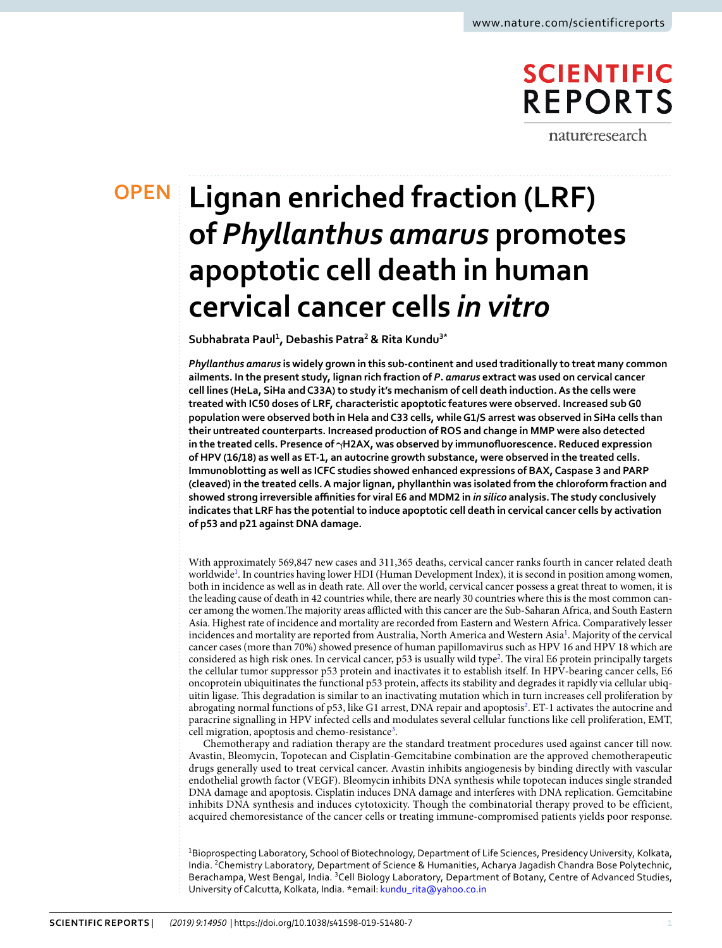## **SCIENTIFIC REPORTS**

natureresearch

### **OPEN**

# **Lignan enriched fraction (LRF) of** *Phyllanthus amarus* **promotes apoptotic cell death in human cervical cancer cells** *in vitro*

**Subhabrata Paul<sup>1</sup> , Debashis Patra<sup>2</sup> & Rita Kundu3\***

*Phyllanthus amarus* **is widely grown in this sub-continent and used traditionally to treat many common ailments. In the present study, lignan rich fraction of** *P***.** *amarus* **extract was used on cervical cancer cell lines (HeLa, SiHa and C33A) to study it's mechanism of cell death induction. As the cells were treated with IC50 doses of LRF, characteristic apoptotic features were observed. Increased sub G0 population were observed both in Hela and C33 cells, while G1/S arrest was observed in SiHa cells than their untreated counterparts. Increased production of ROS and change in MMP were also detected in the treated cells. Presence of γH2AX, was observed by immunofluorescence. Reduced expression of HPV (16/18) as well as ET-1, an autocrine growth substance, were observed in the treated cells. Immunoblotting as well as ICFC studies showed enhanced expressions of BAX, Caspase 3 and PARP (cleaved) in the treated cells. A major lignan, phyllanthin was isolated from the chloroform fraction and showed strong irreversible affinities for viral E6 and MDM2 in** *in silico* **analysis. The study conclusively indicates that LRF has the potential to induce apoptotic cell death in cervical cancer cells by activation of p53 and p21 against DNA damage.**

With approximately 569,847 new cases and 311,365 deaths, cervical cancer ranks fourth in cancer related death worldwide<sup>[1](#page-11-0)</sup>. In countries having lower HDI (Human Development Index), it is second in position among women, both in incidence as well as in death rate. All over the world, cervical cancer possess a great threat to women, it is the leading cause of death in 42 countries while, there are nearly 30 countries where this is the most common cancer among the women.The majority areas afflicted with this cancer are the Sub-Saharan Africa, and South Eastern Asia. Highest rate of incidence and mortality are recorded from Eastern and Western Africa. Comparatively lesser incidences and mortality are reported from Australia, North America and Western Asia<sup>[1](#page-11-0)</sup>. Majority of the cervical cancer cases (more than 70%) showed presence of human papillomavirus such as HPV 16 and HPV 18 which are considered as high risk ones. In cervical cancer, p53 is usually wild type<sup>[2](#page-11-1)</sup>. The viral E6 protein principally targets the cellular tumor suppressor p53 protein and inactivates it to establish itself. In HPV-bearing cancer cells, E6 oncoprotein ubiquitinates the functional p53 protein, affects its stability and degrades it rapidly via cellular ubiquitin ligase. This degradation is similar to an inactivating mutation which in turn increases cell proliferation by abrogating normal functions of p53, like G1 arrest, DNA repair and apoptosis<sup>[2](#page-11-1)</sup>. ET-1 activates the autocrine and paracrine signalling in HPV infected cells and modulates several cellular functions like cell proliferation, EMT, cell migration, apoptosis and chemo-resistance<sup>[3](#page-11-2)</sup>.

Chemotherapy and radiation therapy are the standard treatment procedures used against cancer till now. Avastin, Bleomycin, Topotecan and Cisplatin-Gemcitabine combination are the approved chemotherapeutic drugs generally used to treat cervical cancer. Avastin inhibits angiogenesis by binding directly with vascular endothelial growth factor (VEGF). Bleomycin inhibits DNA synthesis while topotecan induces single stranded DNA damage and apoptosis. Cisplatin induces DNA damage and interferes with DNA replication. Gemcitabine inhibits DNA synthesis and induces cytotoxicity. Though the combinatorial therapy proved to be efficient, acquired chemoresistance of the cancer cells or treating immune-compromised patients yields poor response.

<sup>1</sup>Bioprospecting Laboratory, School of Biotechnology, Department of Life Sciences, Presidency University, Kolkata, India. <sup>2</sup>Chemistry Laboratory, Department of Science & Humanities, Acharya Jagadish Chandra Bose Polytechnic, Berachampa, West Bengal, India. <sup>3</sup>Cell Biology Laboratory, Department of Botany, Centre of Advanced Studies, University of Calcutta, Kolkata, India. \*email: [kundu\\_rita@yahoo.co.in](mailto:kundu_rita@yahoo.co.in)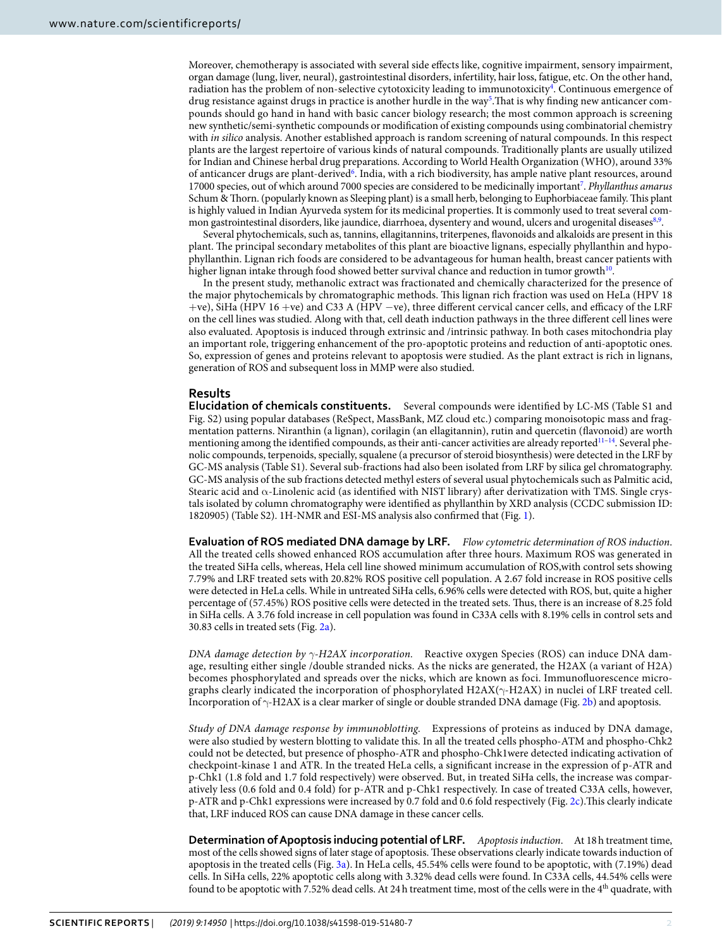Moreover, chemotherapy is associated with several side effects like, cognitive impairment, sensory impairment, organ damage (lung, liver, neural), gastrointestinal disorders, infertility, hair loss, fatigue, etc. On the other hand, radiation has the problem of non-selective cytotoxicity leading to immunotoxicity<sup>[4](#page-11-3)</sup>. Continuous emergence of drug resistance against drugs in practice is another hurdle in the way<sup>[5](#page-11-4)</sup>. That is why finding new anticancer compounds should go hand in hand with basic cancer biology research; the most common approach is screening new synthetic/semi-synthetic compounds or modification of existing compounds using combinatorial chemistry with in silico analysis. Another established approach is random screening of natural compounds. In this respect plants are the largest repertoire of various kinds of natural compounds. Traditionally plants are usually utilized for Indian and Chinese herbal drug preparations. According to World Health Organization (WHO), around 33% of anticancer drugs are plant-derived<sup>[6](#page-11-5)</sup>. India, with a rich biodiversity, has ample native plant resources, around 1[7](#page-11-6)000 species, out of which around 7000 species are considered to be medicinally important<sup>7</sup>. Phyllanthus amarus Schum & Thorn. (popularly known as Sleeping plant) is a small herb, belonging to Euphorbiaceae family. This plant is highly valued in Indian Ayurveda system for its medicinal properties. It is commonly used to treat several com-mon gastrointestinal disorders, like jaundice, diarrhoea, dysentery and wound, ulcers and urogenital diseases<sup>[8,](#page-11-7)[9](#page-11-8)</sup>.

Several phytochemicals, such as, tannins, ellagitannins, triterpenes, flavonoids and alkaloids are present in this plant. The principal secondary metabolites of this plant are bioactive lignans, especially phyllanthin and hypophyllanthin. Lignan rich foods are considered to be advantageous for human health, breast cancer patients with higher lignan intake through food showed better survival chance and reduction in tumor growth<sup>[10](#page-11-9)</sup>.

In the present study, methanolic extract was fractionated and chemically characterized for the presence of the major phytochemicals by chromatographic methods. This lignan rich fraction was used on HeLa (HPV 18 +ve), SiHa (HPV 16 +ve) and C33 A (HPV −ve), three different cervical cancer cells, and efficacy of the LRF on the cell lines was studied. Along with that, cell death induction pathways in the three different cell lines were also evaluated. Apoptosis is induced through extrinsic and /intrinsic pathway. In both cases mitochondria play an important role, triggering enhancement of the pro-apoptotic proteins and reduction of anti-apoptotic ones. So, expression of genes and proteins relevant to apoptosis were studied. As the plant extract is rich in lignans, generation of ROS and subsequent loss in MMP were also studied.

#### **Results**

**Elucidation of chemicals constituents.** Several compounds were identified by LC-MS (Table S1 and Fig. S2) using popular databases (ReSpect, MassBank, MZ cloud etc.) comparing monoisotopic mass and fragmentation patterns. Niranthin (a lignan), corilagin (an ellagitannin), rutin and quercetin (flavonoid) are worth mentioning among the identified compounds, as their anti-cancer activities are already reported<sup>11-[14](#page-11-11)</sup>. Several phenolic compounds, terpenoids, specially, squalene (a precursor of steroid biosynthesis) were detected in the LRF by GC-MS analysis (Table S1). Several sub-fractions had also been isolated from LRF by silica gel chromatography. GC-MS analysis of the sub fractions detected methyl esters of several usual phytochemicals such as Palmitic acid, Stearic acid and  $\alpha$ -Linolenic acid (as identified with NIST library) after derivatization with TMS. Single crystals isolated by column chromatography were identified as phyllanthin by XRD analysis (CCDC submission ID: 1820905) (Table S2). 1H-NMR and ESI-MS analysis also confirmed that (Fig. [1](#page-2-0)).

**Evaluation of ROS mediated DNA damage by LRF.** Flow cytometric determination of ROS induction. All the treated cells showed enhanced ROS accumulation after three hours. Maximum ROS was generated in the treated SiHa cells, whereas, Hela cell line showed minimum accumulation of ROS,with control sets showing 7.79% and LRF treated sets with 20.82% ROS positive cell population. A 2.67 fold increase in ROS positive cells were detected in HeLa cells. While in untreated SiHa cells, 6.96% cells were detected with ROS, but, quite a higher percentage of (57.45%) ROS positive cells were detected in the treated sets. Thus, there is an increase of 8.25 fold in SiHa cells. A 3.76 fold increase in cell population was found in C33A cells with 8.19% cells in control sets and 30.83 cells in treated sets (Fig. [2a\)](#page-3-0).

DNA damage detection by *γ*-H2AX incorporation. Reactive oxygen Species (ROS) can induce DNA damage, resulting either single /double stranded nicks. As the nicks are generated, the H2AX (a variant of H2A) becomes phosphorylated and spreads over the nicks, which are known as foci. Immunofluorescence micrographs clearly indicated the incorporation of phosphorylated H2AX( $\gamma$ -H2AX) in nuclei of LRF treated cell. Incorporation of  $\gamma$ -H2AX is a clear marker of single or double stranded DNA damage (Fig. [2b](#page-3-0)) and apoptosis.

Study of DNA damage response by immunoblotting. Expressions of proteins as induced by DNA damage, were also studied by western blotting to validate this. In all the treated cells phospho-ATM and phospho-Chk2 could not be detected, but presence of phospho-ATR and phospho-Chk1were detected indicating activation of checkpoint-kinase 1 and ATR. In the treated HeLa cells, a significant increase in the expression of p-ATR and p-Chk1 (1.8 fold and 1.7 fold respectively) were observed. But, in treated SiHa cells, the increase was comparatively less (0.6 fold and 0.4 fold) for p-ATR and p-Chk1 respectively. In case of treated C33A cells, however, p-ATR and p-Chk1 expressions were increased by 0.7 fold and 0.6 fold respectively (Fig. [2c](#page-3-0)).This clearly indicate that, LRF induced ROS can cause DNA damage in these cancer cells.

**Determination of Apoptosis inducing potential of LRF.** Apoptosis induction. At 18 h treatment time, most of the cells showed signs of later stage of apoptosis. These observations clearly indicate towards induction of apoptosis in the treated cells (Fig. [3a\)](#page-4-0). In HeLa cells, 45.54% cells were found to be apoptotic, with (7.19%) dead cells. In SiHa cells, 22% apoptotic cells along with 3.32% dead cells were found. In C33A cells, 44.54% cells were found to be apoptotic with 7.52% dead cells. At 24 h treatment time, most of the cells were in the 4th quadrate, with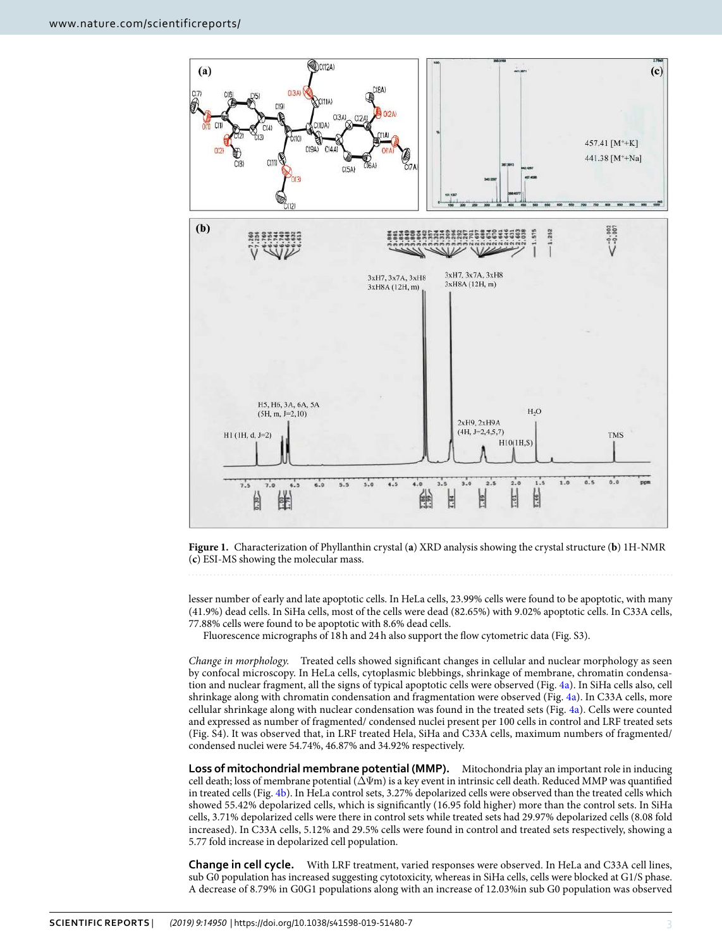

<span id="page-2-0"></span>**Figure 1.** Characterization of Phyllanthin crystal (**a**) XRD analysis showing the crystal structure (**b**) 1H-NMR (**c**) ESI-MS showing the molecular mass.

lesser number of early and late apoptotic cells. In HeLa cells, 23.99% cells were found to be apoptotic, with many (41.9%) dead cells. In SiHa cells, most of the cells were dead (82.65%) with 9.02% apoptotic cells. In C33A cells, 77.88% cells were found to be apoptotic with 8.6% dead cells.

Fluorescence micrographs of 18 h and 24 h also support the flow cytometric data (Fig. S3).

Change in morphology. Treated cells showed significant changes in cellular and nuclear morphology as seen by confocal microscopy. In HeLa cells, cytoplasmic blebbings, shrinkage of membrane, chromatin condensation and nuclear fragment, all the signs of typical apoptotic cells were observed (Fig. [4a\)](#page-5-0). In SiHa cells also, cell shrinkage along with chromatin condensation and fragmentation were observed (Fig. [4a\)](#page-5-0). In C33A cells, more cellular shrinkage along with nuclear condensation was found in the treated sets (Fig. [4a\)](#page-5-0). Cells were counted and expressed as number of fragmented/ condensed nuclei present per 100 cells in control and LRF treated sets (Fig. S4). It was observed that, in LRF treated Hela, SiHa and C33A cells, maximum numbers of fragmented/ condensed nuclei were 54.74%, 46.87% and 34.92% respectively.

**Loss of mitochondrial membrane potential (MMP).** Mitochondria play an important role in inducing cell death; loss of membrane potential (∆Ψm) is a key event in intrinsic cell death. Reduced MMP was quantified in treated cells (Fig. [4b](#page-5-0)). In HeLa control sets, 3.27% depolarized cells were observed than the treated cells which showed 55.42% depolarized cells, which is significantly (16.95 fold higher) more than the control sets. In SiHa cells, 3.71% depolarized cells were there in control sets while treated sets had 29.97% depolarized cells (8.08 fold increased). In C33A cells, 5.12% and 29.5% cells were found in control and treated sets respectively, showing a 5.77 fold increase in depolarized cell population.

**Change in cell cycle.** With LRF treatment, varied responses were observed. In HeLa and C33A cell lines, sub G0 population has increased suggesting cytotoxicity, whereas in SiHa cells, cells were blocked at G1/S phase. A decrease of 8.79% in G0G1 populations along with an increase of 12.03%in sub G0 population was observed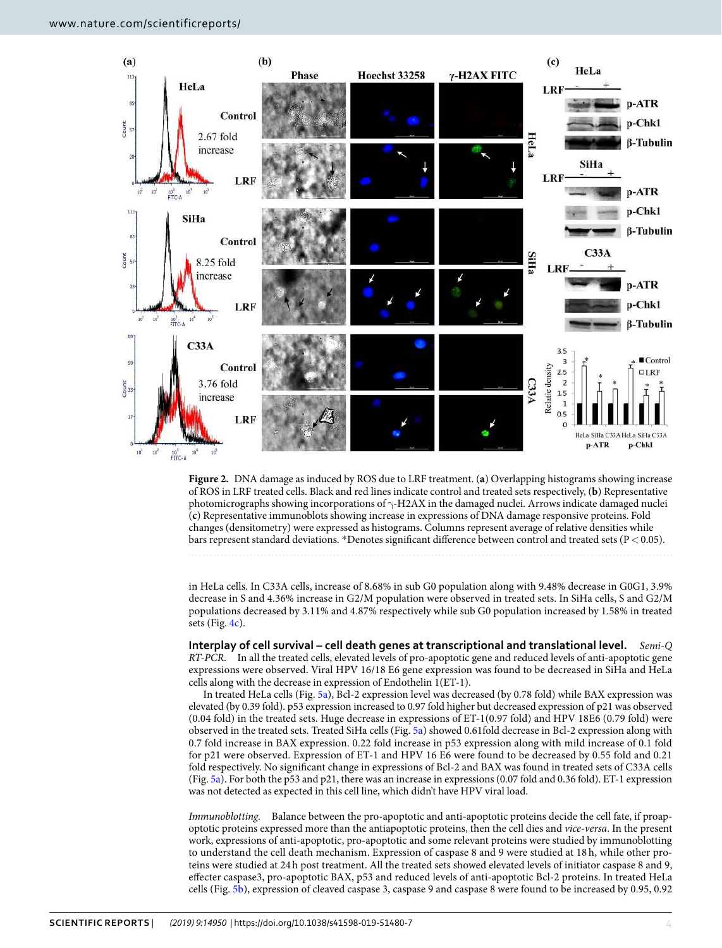

<span id="page-3-0"></span>**Figure 2.** DNA damage as induced by ROS due to LRF treatment. (**a**) Overlapping histograms showing increase of ROS in LRF treated cells. Black and red lines indicate control and treated sets respectively, (**b**) Representative photomicrographs showing incorporations of γ-H2AX in the damaged nuclei. Arrows indicate damaged nuclei (**c**) Representative immunoblots showing increase in expressions of DNA damage responsive proteins. Fold changes (densitometry) were expressed as histograms. Columns represent average of relative densities while bars represent standard deviations. \*Denotes significant difference between control and treated sets (P < 0.05).

in HeLa cells. In C33A cells, increase of 8.68% in sub G0 population along with 9.48% decrease in G0G1, 3.9% decrease in S and 4.36% increase in G2/M population were observed in treated sets. In SiHa cells, S and G2/M populations decreased by 3.11% and 4.87% respectively while sub G0 population increased by 1.58% in treated sets (Fig.  $4c$ ).

**Interplay of cell survival – cell death genes at transcriptional and translational level.** Semi-Q RT-PCR. In all the treated cells, elevated levels of pro-apoptotic gene and reduced levels of anti-apoptotic gene expressions were observed. Viral HPV 16/18 E6 gene expression was found to be decreased in SiHa and HeLa cells along with the decrease in expression of Endothelin 1(ET-1).

In treated HeLa cells (Fig. [5a](#page-6-0)), Bcl-2 expression level was decreased (by 0.78 fold) while BAX expression was elevated (by 0.39 fold). p53 expression increased to 0.97 fold higher but decreased expression of p21 was observed (0.04 fold) in the treated sets. Huge decrease in expressions of ET-1(0.97 fold) and HPV 18E6 (0.79 fold) were observed in the treated sets. Treated SiHa cells (Fig. [5a\)](#page-6-0) showed 0.61fold decrease in Bcl-2 expression along with 0.7 fold increase in BAX expression. 0.22 fold increase in p53 expression along with mild increase of 0.1 fold for p21 were observed. Expression of ET-1 and HPV 16 E6 were found to be decreased by 0.55 fold and 0.21 fold respectively. No significant change in expressions of Bcl-2 and BAX was found in treated sets of C33A cells (Fig. [5a\)](#page-6-0). For both the p53 and p21, there was an increase in expressions (0.07 fold and 0.36 fold). ET-1 expression was not detected as expected in this cell line, which didn't have HPV viral load.

Immunoblotting. Balance between the pro-apoptotic and anti-apoptotic proteins decide the cell fate, if proapoptotic proteins expressed more than the antiapoptotic proteins, then the cell dies and vice-versa. In the present work, expressions of anti-apoptotic, pro-apoptotic and some relevant proteins were studied by immunoblotting to understand the cell death mechanism. Expression of caspase 8 and 9 were studied at 18 h, while other proteins were studied at 24 h post treatment. All the treated sets showed elevated levels of initiator caspase 8 and 9, effecter caspase3, pro-apoptotic BAX, p53 and reduced levels of anti-apoptotic Bcl-2 proteins. In treated HeLa cells (Fig. [5b\)](#page-6-0), expression of cleaved caspase 3, caspase 9 and caspase 8 were found to be increased by 0.95, 0.92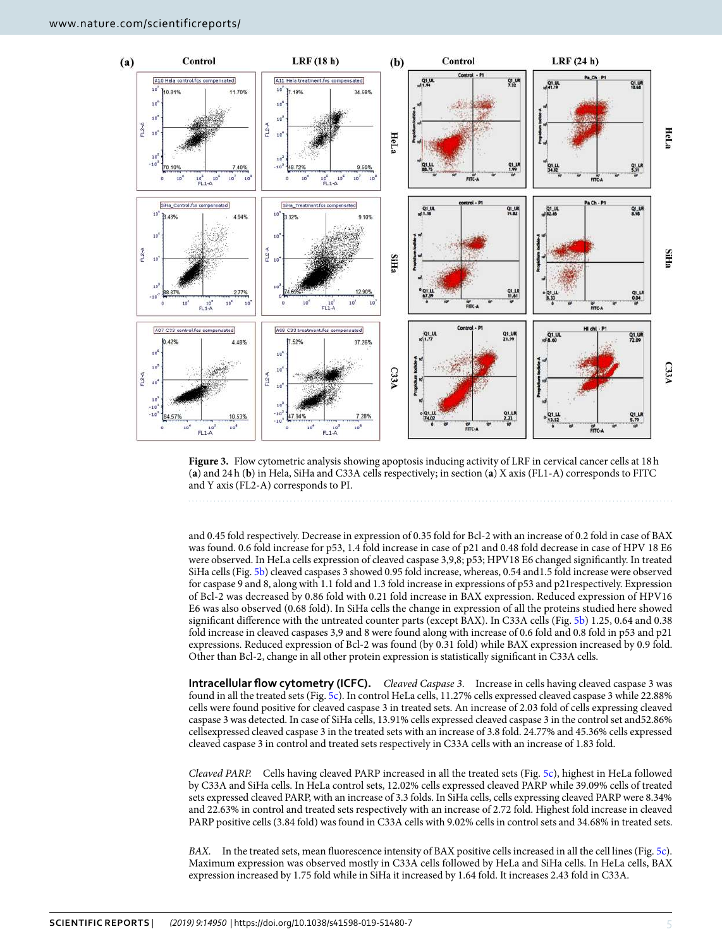

<span id="page-4-0"></span>**Figure 3.** Flow cytometric analysis showing apoptosis inducing activity of LRF in cervical cancer cells at 18 h (**a**) and 24 h (**b**) in Hela, SiHa and C33A cells respectively; in section (**a**) X axis (FL1-A) corresponds to FITC and Y axis (FL2-A) corresponds to PI.

and 0.45 fold respectively. Decrease in expression of 0.35 fold for Bcl-2 with an increase of 0.2 fold in case of BAX was found. 0.6 fold increase for p53, 1.4 fold increase in case of p21 and 0.48 fold decrease in case of HPV 18 E6 were observed. In HeLa cells expression of cleaved caspase 3,9,8; p53; HPV18 E6 changed significantly. In treated SiHa cells (Fig. [5b](#page-6-0)) cleaved caspases 3 showed 0.95 fold increase, whereas, 0.54 and1.5 fold increase were observed for caspase 9 and 8, along with 1.1 fold and 1.3 fold increase in expressions of p53 and p21respectively. Expression of Bcl-2 was decreased by 0.86 fold with 0.21 fold increase in BAX expression. Reduced expression of HPV16 E6 was also observed (0.68 fold). In SiHa cells the change in expression of all the proteins studied here showed significant difference with the untreated counter parts (except BAX). In C33A cells (Fig. [5b\)](#page-6-0) 1.25, 0.64 and 0.38 fold increase in cleaved caspases 3,9 and 8 were found along with increase of 0.6 fold and 0.8 fold in p53 and p21 expressions. Reduced expression of Bcl-2 was found (by 0.31 fold) while BAX expression increased by 0.9 fold. Other than Bcl-2, change in all other protein expression is statistically significant in C33A cells.

**Intracellular flow cytometry (ICFC).** Cleaved Caspase 3. Increase in cells having cleaved caspase 3 was found in all the treated sets (Fig. [5c](#page-6-0)). In control HeLa cells, 11.27% cells expressed cleaved caspase 3 while 22.88% cells were found positive for cleaved caspase 3 in treated sets. An increase of 2.03 fold of cells expressing cleaved caspase 3 was detected. In case of SiHa cells, 13.91% cells expressed cleaved caspase 3 in the control set and52.86% cellsexpressed cleaved caspase 3 in the treated sets with an increase of 3.8 fold. 24.77% and 45.36% cells expressed cleaved caspase 3 in control and treated sets respectively in C33A cells with an increase of 1.83 fold.

Cleaved PARP. Cells having cleaved PARP increased in all the treated sets (Fig. [5c](#page-6-0)), highest in HeLa followed by C33A and SiHa cells. In HeLa control sets, 12.02% cells expressed cleaved PARP while 39.09% cells of treated sets expressed cleaved PARP, with an increase of 3.3 folds. In SiHa cells, cells expressing cleaved PARP were 8.34% and 22.63% in control and treated sets respectively with an increase of 2.72 fold. Highest fold increase in cleaved PARP positive cells (3.84 fold) was found in C33A cells with 9.02% cells in control sets and 34.68% in treated sets.

BAX. In the treated sets, mean fluorescence intensity of BAX positive cells increased in all the cell lines (Fig. [5c](#page-6-0)). Maximum expression was observed mostly in C33A cells followed by HeLa and SiHa cells. In HeLa cells, BAX expression increased by 1.75 fold while in SiHa it increased by 1.64 fold. It increases 2.43 fold in C33A.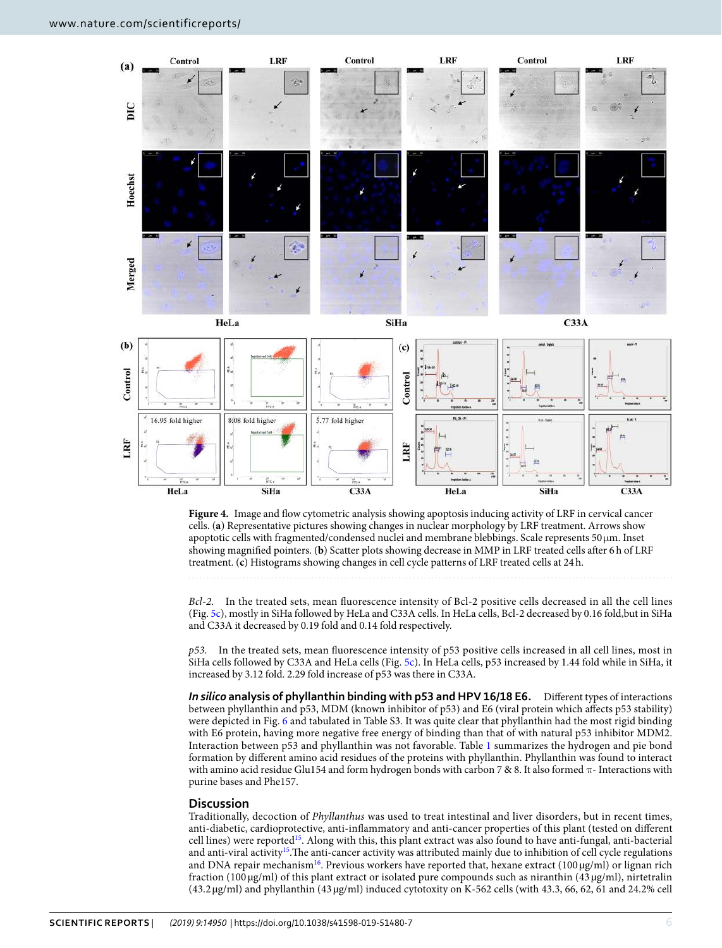

<span id="page-5-0"></span>**Figure 4.** Image and flow cytometric analysis showing apoptosis inducing activity of LRF in cervical cancer cells. (**a**) Representative pictures showing changes in nuclear morphology by LRF treatment. Arrows show apoptotic cells with fragmented/condensed nuclei and membrane blebbings. Scale represents 50 µm. Inset showing magnified pointers. (**b**) Scatter plots showing decrease in MMP in LRF treated cells after 6 h of LRF treatment. (**c**) Histograms showing changes in cell cycle patterns of LRF treated cells at 24 h.

Bcl-2. In the treated sets, mean fluorescence intensity of Bcl-2 positive cells decreased in all the cell lines (Fig. [5c](#page-6-0)), mostly in SiHa followed by HeLa and C33A cells. In HeLa cells, Bcl-2 decreased by 0.16 fold,but in SiHa and C33A it decreased by 0.19 fold and 0.14 fold respectively.

p53. In the treated sets, mean fluorescence intensity of p53 positive cells increased in all cell lines, most in SiHa cells followed by C33A and HeLa cells (Fig. [5c\)](#page-6-0). In HeLa cells, p53 increased by 1.44 fold while in SiHa, it increased by 3.12 fold. 2.29 fold increase of p53 was there in C33A.

*In silico* **analysis of phyllanthin binding with p53 and HPV 16/18 E6.** Different types of interactions between phyllanthin and p53, MDM (known inhibitor of p53) and E6 (viral protein which affects p53 stability) were depicted in Fig. [6](#page-7-0) and tabulated in Table S3. It was quite clear that phyllanthin had the most rigid binding with E6 protein, having more negative free energy of binding than that of with natural p53 inhibitor MDM2. Interaction between p53 and phyllanthin was not favorable. Table [1](#page-8-0) summarizes the hydrogen and pie bond formation by different amino acid residues of the proteins with phyllanthin. Phyllanthin was found to interact with amino acid residue Glu154 and form hydrogen bonds with carbon 7 & 8. It also formed π- Interactions with purine bases and Phe157.

#### **Discussion**

Traditionally, decoction of Phyllanthus was used to treat intestinal and liver disorders, but in recent times, anti-diabetic, cardioprotective, anti-inflammatory and anti-cancer properties of this plant (tested on different cell lines) were reported[15](#page-11-12). Along with this, this plant extract was also found to have anti-fungal, anti-bacterial and anti-viral activity[15](#page-11-12).The anti-cancer activity was attributed mainly due to inhibition of cell cycle regulations and DNA repair mechanism<sup>[16](#page-11-13)</sup>. Previous workers have reported that, hexane extract (100  $\mu$ g/ml) or lignan rich fraction (100 µg/ml) of this plant extract or isolated pure compounds such as niranthin (43 µg/ml), nirtetralin (43.2 µg/ml) and phyllanthin (43 µg/ml) induced cytotoxity on K-562 cells (with 43.3, 66, 62, 61 and 24.2% cell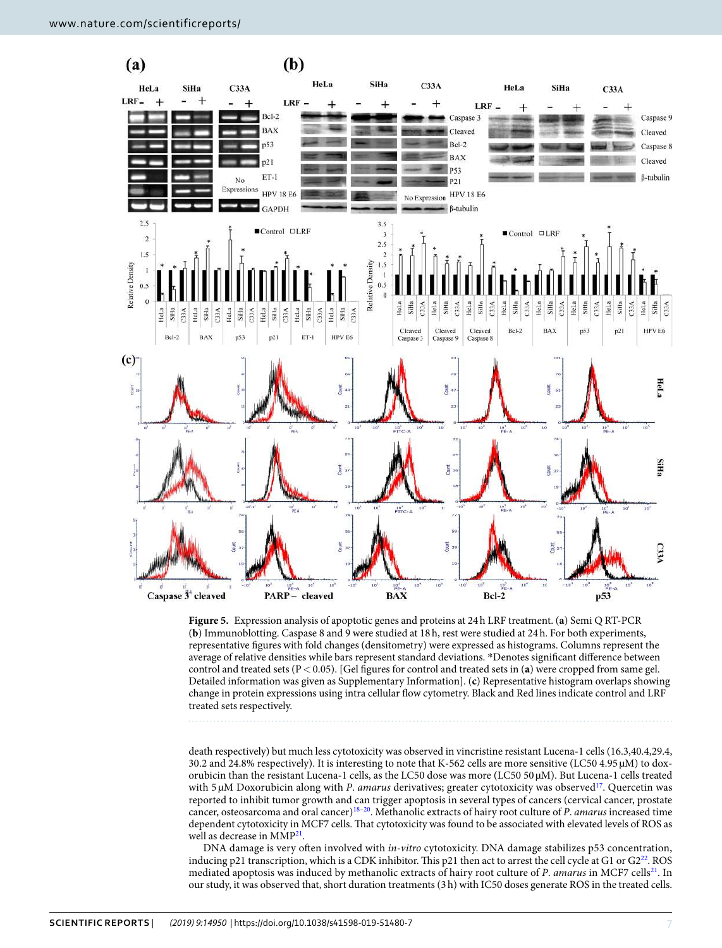

<span id="page-6-0"></span>**Figure 5.** Expression analysis of apoptotic genes and proteins at 24 h LRF treatment. (**a**) Semi Q RT-PCR (**b**) Immunoblotting. Caspase 8 and 9 were studied at 18 h, rest were studied at 24 h. For both experiments, representative figures with fold changes (densitometry) were expressed as histograms. Columns represent the average of relative densities while bars represent standard deviations. \*Denotes significant difference between control and treated sets (P < 0.05). [Gel figures for control and treated sets in (**a**) were cropped from same gel. Detailed information was given as Supplementary Information]. (**c**) Representative histogram overlaps showing change in protein expressions using intra cellular flow cytometry. Black and Red lines indicate control and LRF treated sets respectively.

death respectively) but much less cytotoxicity was observed in vincristine resistant Lucena-1 cells (16.3,40.4,29.4, 30.2 and 24.8% respectively). It is interesting to note that K-562 cells are more sensitive (LC50 4.95 µM) to doxorubicin than the resistant Lucena-1 cells, as the LC50 dose was more (LC50 50 µM). But Lucena-1 cells treated with 5  $\mu$ M Doxorubicin along with P. amarus derivatives; greater cytotoxicity was observed<sup>[17](#page-11-14)</sup>. Quercetin was reported to inhibit tumor growth and can trigger apoptosis in several types of cancers (cervical cancer, prostate cancer, osteosarcoma and oral cancer)<sup>[18–](#page-11-15)[20](#page-11-16)</sup>. Methanolic extracts of hairy root culture of P. amarus increased time dependent cytotoxicity in MCF7 cells. That cytotoxicity was found to be associated with elevated levels of ROS as well as decrease in MMP<sup>[21](#page-11-17)</sup>.

DNA damage is very often involved with in-vitro cytotoxicity. DNA damage stabilizes p53 concentration, inducing p21 transcription, which is a CDK inhibitor. This p21 then act to arrest the cell cycle at G1 or G2<sup>[22](#page-11-18)</sup>. ROS mediated apoptosis was induced by methanolic extracts of hairy root culture of P. amarus in MCF7 cells<sup>[21](#page-11-17)</sup>. In our study, it was observed that, short duration treatments (3 h) with IC50 doses generate ROS in the treated cells.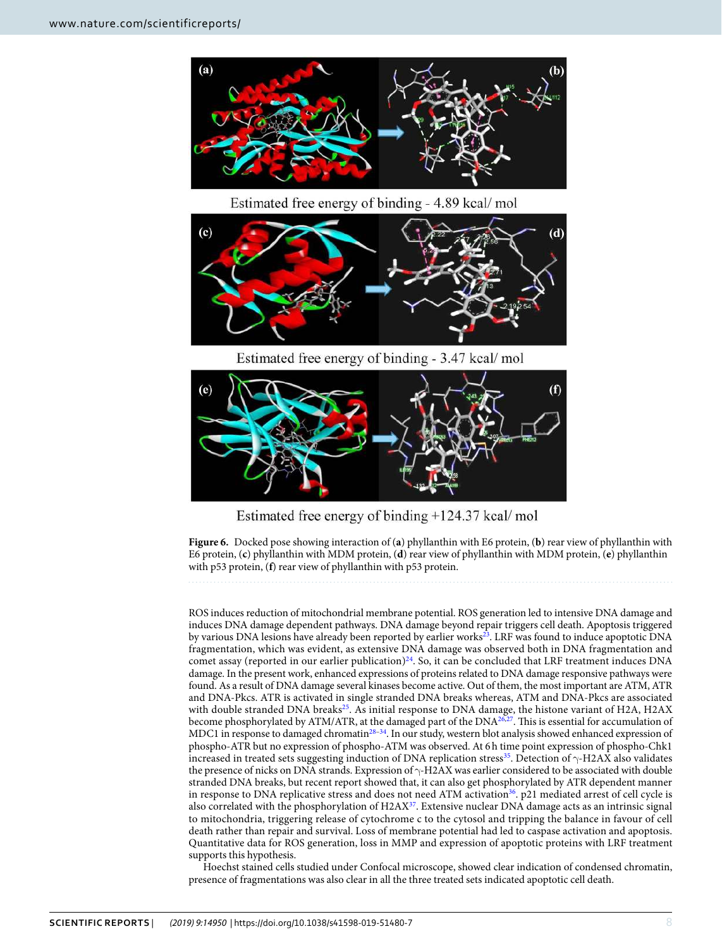![](_page_7_Figure_1.jpeg)

Estimated free energy of binding - 4.89 kcal/mol

![](_page_7_Figure_3.jpeg)

Estimated free energy of binding - 3.47 kcal/mol

![](_page_7_Figure_5.jpeg)

Estimated free energy of binding +124.37 kcal/mol

<span id="page-7-0"></span>**Figure 6.** Docked pose showing interaction of (**a**) phyllanthin with E6 protein, (**b**) rear view of phyllanthin with E6 protein, (**c**) phyllanthin with MDM protein, (**d**) rear view of phyllanthin with MDM protein, (**e**) phyllanthin with p53 protein, (**f**) rear view of phyllanthin with p53 protein.

ROS induces reduction of mitochondrial membrane potential. ROS generation led to intensive DNA damage and induces DNA damage dependent pathways. DNA damage beyond repair triggers cell death. Apoptosis triggered by various DNA lesions have already been reported by earlier works<sup>[23](#page-11-19)</sup>. LRF was found to induce apoptotic DNA fragmentation, which was evident, as extensive DNA damage was observed both in DNA fragmentation and comet assay (reported in our earlier publication)<sup>[24](#page-11-20)</sup>. So, it can be concluded that LRF treatment induces DNA damage. In the present work, enhanced expressions of proteins related to DNA damage responsive pathways were found. As a result of DNA damage several kinases become active. Out of them, the most important are ATM, ATR and DNA-Pkcs. ATR is activated in single stranded DNA breaks whereas, ATM and DNA-Pkcs are associated with double stranded DNA breaks<sup>[25](#page-11-21)</sup>. As initial response to DNA damage, the histone variant of H2A, H2AX become phosphorylated by ATM/ATR, at the damaged part of the DNA<sup>[26](#page-11-22),[27](#page-11-23)</sup>. This is essential for accumulation of MDC1 in response to damaged chromatin[28](#page-11-24)[–34](#page-12-0). In our study, western blot analysis showed enhanced expression of phospho-ATR but no expression of phospho-ATM was observed. At 6 h time point expression of phospho-Chk1 increased in treated sets suggesting induction of DNA replication stress<sup>[35](#page-12-1)</sup>. Detection of γ-H2AX also validates the presence of nicks on DNA strands. Expression of γ-H2AX was earlier considered to be associated with double stranded DNA breaks, but recent report showed that, it can also get phosphorylated by ATR dependent manner in response to DNA replicative stress and does not need ATM activation<sup>[36](#page-12-2)</sup>. p21 mediated arrest of cell cycle is also correlated with the phosphorylation of H2AX<sup>[37](#page-12-3)</sup>. Extensive nuclear DNA damage acts as an intrinsic signal to mitochondria, triggering release of cytochrome c to the cytosol and tripping the balance in favour of cell death rather than repair and survival. Loss of membrane potential had led to caspase activation and apoptosis. Quantitative data for ROS generation, loss in MMP and expression of apoptotic proteins with LRF treatment supports this hypothesis.

Hoechst stained cells studied under Confocal microscope, showed clear indication of condensed chromatin, presence of fragmentations was also clear in all the three treated sets indicated apoptotic cell death.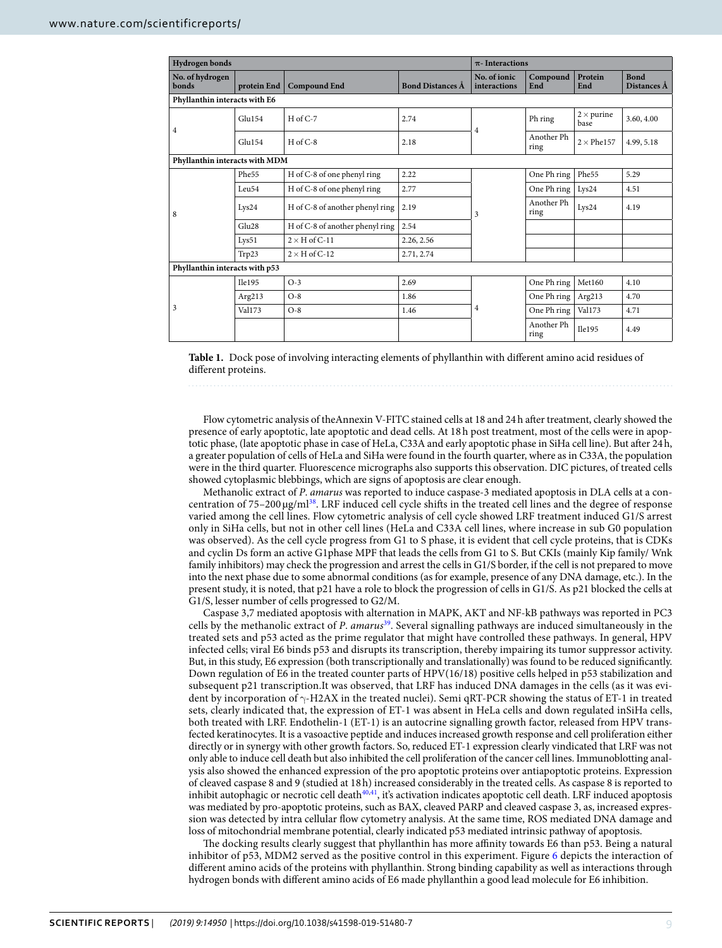<span id="page-8-0"></span>

| <b>Hydrogen</b> bonds          |                   |                                 |                         | $\pi$ -Interactions          |                    |                           |                            |
|--------------------------------|-------------------|---------------------------------|-------------------------|------------------------------|--------------------|---------------------------|----------------------------|
| No. of hydrogen<br>bonds       | protein End       | <b>Compound End</b>             | <b>Bond Distances Å</b> | No. of ionic<br>interactions | Compound<br>End    | Protein<br>End            | <b>Bond</b><br>Distances Å |
| Phyllanthin interacts with E6  |                   |                                 |                         |                              |                    |                           |                            |
| 4                              | Glu154            | $H$ of C-7                      | 2.74                    | $\overline{4}$               | Ph ring            | $2 \times$ purine<br>base | 3.60, 4.00                 |
|                                | Glu154            | $H$ of C-8                      | 2.18                    |                              | Another Ph<br>ring | $2 \times$ Phe157         | 4.99, 5.18                 |
| Phyllanthin interacts with MDM |                   |                                 |                         |                              |                    |                           |                            |
| 8                              | Phe55             | H of C-8 of one phenyl ring     | 2.22                    | 3                            | One Ph ring        | Phe55                     | 5.29                       |
|                                | Leu54             | H of C-8 of one phenyl ring     | 2.77                    |                              | One Ph ring        | Lys24                     | 4.51                       |
|                                | Lys24             | H of C-8 of another phenyl ring | 2.19                    |                              | Another Ph<br>ring | Lys24                     | 4.19                       |
|                                | Glu <sub>28</sub> | H of C-8 of another phenyl ring | 2.54                    |                              |                    |                           |                            |
|                                | Lys51             | $2 \times H$ of C-11            | 2.26, 2.56              |                              |                    |                           |                            |
|                                | Trp23             | $2 \times H$ of C-12            | 2.71, 2.74              |                              |                    |                           |                            |
| Phyllanthin interacts with p53 |                   |                                 |                         |                              |                    |                           |                            |
| 3                              | Ile195            | $O-3$                           | 2.69                    | $\overline{4}$               | One Ph ring        | Met160                    | 4.10                       |
|                                | Arg213            | $O-8$                           | 1.86                    |                              | One Ph ring        | Arg213                    | 4.70                       |
|                                | <b>Val173</b>     | $O-8$                           | 1.46                    |                              | One Ph ring        | Val173                    | 4.71                       |
|                                |                   |                                 |                         |                              | Another Ph<br>ring | Ile195                    | 4.49                       |

**Table 1.** Dock pose of involving interacting elements of phyllanthin with different amino acid residues of different proteins.

Flow cytometric analysis of theAnnexin V-FITC stained cells at 18 and 24 h after treatment, clearly showed the presence of early apoptotic, late apoptotic and dead cells. At 18 h post treatment, most of the cells were in apoptotic phase, (late apoptotic phase in case of HeLa, C33A and early apoptotic phase in SiHa cell line). But after 24 h, a greater population of cells of HeLa and SiHa were found in the fourth quarter, where as in C33A, the population were in the third quarter. Fluorescence micrographs also supports this observation. DIC pictures, of treated cells showed cytoplasmic blebbings, which are signs of apoptosis are clear enough.

Methanolic extract of P. amarus was reported to induce caspase-3 mediated apoptosis in DLA cells at a con-centration of 75-200 µg/ml<sup>[38](#page-12-4)</sup>. LRF induced cell cycle shifts in the treated cell lines and the degree of response varied among the cell lines. Flow cytometric analysis of cell cycle showed LRF treatment induced G1/S arrest only in SiHa cells, but not in other cell lines (HeLa and C33A cell lines, where increase in sub G0 population was observed). As the cell cycle progress from G1 to S phase, it is evident that cell cycle proteins, that is CDKs and cyclin Ds form an active G1phase MPF that leads the cells from G1 to S. But CKIs (mainly Kip family/ Wnk family inhibitors) may check the progression and arrest the cells in G1/S border, if the cell is not prepared to move into the next phase due to some abnormal conditions (as for example, presence of any DNA damage, etc.). In the present study, it is noted, that p21 have a role to block the progression of cells in G1/S. As p21 blocked the cells at G1/S, lesser number of cells progressed to G2/M.

Caspase 3,7 mediated apoptosis with alternation in MAPK, AKT and NF-kB pathways was reported in PC3 cells by the methanolic extract of P. amarus<sup>[39](#page-12-5)</sup>. Several signalling pathways are induced simultaneously in the treated sets and p53 acted as the prime regulator that might have controlled these pathways. In general, HPV infected cells; viral E6 binds p53 and disrupts its transcription, thereby impairing its tumor suppressor activity. But, in this study, E6 expression (both transcriptionally and translationally) was found to be reduced significantly. Down regulation of E6 in the treated counter parts of HPV(16/18) positive cells helped in p53 stabilization and subsequent p21 transcription.It was observed, that LRF has induced DNA damages in the cells (as it was evident by incorporation of γ-H2AX in the treated nuclei). Semi qRT-PCR showing the status of ET-1 in treated sets, clearly indicated that, the expression of ET-1 was absent in HeLa cells and down regulated inSiHa cells, both treated with LRF. Endothelin-1 (ET-1) is an autocrine signalling growth factor, released from HPV transfected keratinocytes. It is a vasoactive peptide and induces increased growth response and cell proliferation either directly or in synergy with other growth factors. So, reduced ET-1 expression clearly vindicated that LRF was not only able to induce cell death but also inhibited the cell proliferation of the cancer cell lines. Immunoblotting analysis also showed the enhanced expression of the pro apoptotic proteins over antiapoptotic proteins. Expression of cleaved caspase 8 and 9 (studied at 18 h) increased considerably in the treated cells. As caspase 8 is reported to inhibit autophagic or necrotic cell death<sup>[40](#page-12-6),[41](#page-12-7)</sup>, it's activation indicates apoptotic cell death. LRF induced apoptosis was mediated by pro-apoptotic proteins, such as BAX, cleaved PARP and cleaved caspase 3, as, increased expression was detected by intra cellular flow cytometry analysis. At the same time, ROS mediated DNA damage and loss of mitochondrial membrane potential, clearly indicated p53 mediated intrinsic pathway of apoptosis.

The docking results clearly suggest that phyllanthin has more affinity towards E6 than p53. Being a natural inhibitor of p53, MDM2 served as the positive control in this experiment. Figure [6](#page-7-0) depicts the interaction of different amino acids of the proteins with phyllanthin. Strong binding capability as well as interactions through hydrogen bonds with different amino acids of E6 made phyllanthin a good lead molecule for E6 inhibition.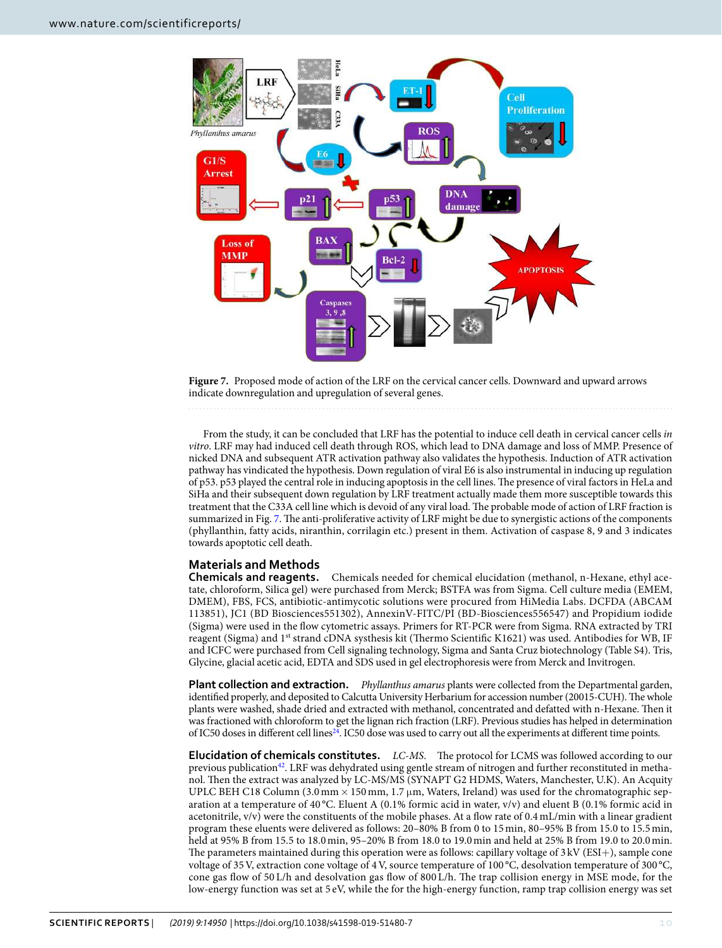![](_page_9_Figure_1.jpeg)

<span id="page-9-0"></span>**Figure 7.** Proposed mode of action of the LRF on the cervical cancer cells. Downward and upward arrows indicate downregulation and upregulation of several genes.

From the study, it can be concluded that LRF has the potential to induce cell death in cervical cancer cells in vitro. LRF may had induced cell death through ROS, which lead to DNA damage and loss of MMP. Presence of nicked DNA and subsequent ATR activation pathway also validates the hypothesis. Induction of ATR activation pathway has vindicated the hypothesis. Down regulation of viral E6 is also instrumental in inducing up regulation of p53. p53 played the central role in inducing apoptosis in the cell lines. The presence of viral factors in HeLa and SiHa and their subsequent down regulation by LRF treatment actually made them more susceptible towards this treatment that the C33A cell line which is devoid of any viral load. The probable mode of action of LRF fraction is summarized in Fig. [7](#page-9-0). The anti-proliferative activity of LRF might be due to synergistic actions of the components (phyllanthin, fatty acids, niranthin, corrilagin etc.) present in them. Activation of caspase 8, 9 and 3 indicates towards apoptotic cell death.

### **Materials and Methods**

**Chemicals and reagents.** Chemicals needed for chemical elucidation (methanol, n-Hexane, ethyl acetate, chloroform, Silica gel) were purchased from Merck; BSTFA was from Sigma. Cell culture media (EMEM, DMEM), FBS, FCS, antibiotic-antimycotic solutions were procured from HiMedia Labs. DCFDA (ABCAM 113851), JC1 (BD Biosciences551302), AnnexinV-FITC/PI (BD-Biosciences556547) and Propidium iodide (Sigma) were used in the flow cytometric assays. Primers for RT-PCR were from Sigma. RNA extracted by TRI reagent (Sigma) and 1<sup>st</sup> strand cDNA systhesis kit (Thermo Scientific K1621) was used. Antibodies for WB, IF and ICFC were purchased from Cell signaling technology, Sigma and Santa Cruz biotechnology (Table S4). Tris, Glycine, glacial acetic acid, EDTA and SDS used in gel electrophoresis were from Merck and Invitrogen.

**Plant collection and extraction.** *Phyllanthus amarus* plants were collected from the Departmental garden, identified properly, and deposited to Calcutta University Herbarium for accession number (20015-CUH). The whole plants were washed, shade dried and extracted with methanol, concentrated and defatted with n-Hexane. Then it was fractioned with chloroform to get the lignan rich fraction (LRF). Previous studies has helped in determination of IC50 doses in different cell lines<sup>[24](#page-11-20)</sup>. IC50 dose was used to carry out all the experiments at different time points.

**Elucidation of chemicals constitutes.** LC-MS. The protocol for LCMS was followed according to our previous publication[42](#page-12-8). LRF was dehydrated using gentle stream of nitrogen and further reconstituted in methanol. Then the extract was analyzed by LC-MS/MS (SYNAPT G2 HDMS, Waters, Manchester, U.K). An Acquity UPLC BEH C18 Column (3.0 mm  $\times$  150 mm, 1.7  $\mu$ m, Waters, Ireland) was used for the chromatographic separation at a temperature of 40 °C. Eluent A (0.1% formic acid in water, v/v) and eluent B (0.1% formic acid in acetonitrile, v/v) were the constituents of the mobile phases. At a flow rate of 0.4 mL/min with a linear gradient program these eluents were delivered as follows: 20–80% B from 0 to 15 min, 80–95% B from 15.0 to 15.5 min, held at 95% B from 15.5 to 18.0 min, 95–20% B from 18.0 to 19.0 min and held at 25% B from 19.0 to 20.0 min. The parameters maintained during this operation were as follows: capillary voltage of 3 kV (ESI+), sample cone voltage of 35 V, extraction cone voltage of 4 V, source temperature of 100 °C, desolvation temperature of 300 °C, cone gas flow of 50 L/h and desolvation gas flow of 800 L/h. The trap collision energy in MSE mode, for the low-energy function was set at 5 eV, while the for the high-energy function, ramp trap collision energy was set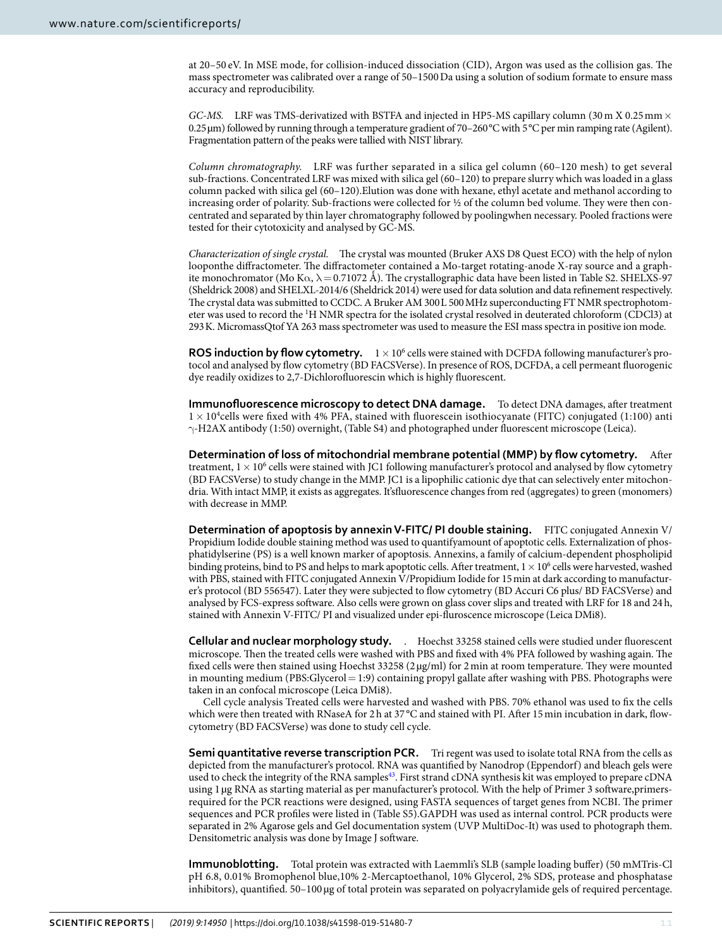at 20–50 eV. In MSE mode, for collision-induced dissociation (CID), Argon was used as the collision gas. The mass spectrometer was calibrated over a range of 50–1500 Da using a solution of sodium formate to ensure mass accuracy and reproducibility.

GC-MS. LRF was TMS-derivatized with BSTFA and injected in HP5-MS capillary column (30 m X 0.25 mm  $\times$ 0.25 µm) followed by running through a temperature gradient of 70–260 °C with 5 °C per min ramping rate (Agilent). Fragmentation pattern of the peaks were tallied with NIST library.

Column chromatography. LRF was further separated in a silica gel column (60–120 mesh) to get several sub-fractions. Concentrated LRF was mixed with silica gel (60–120) to prepare slurry which was loaded in a glass column packed with silica gel (60–120).Elution was done with hexane, ethyl acetate and methanol according to increasing order of polarity. Sub-fractions were collected for ½ of the column bed volume. They were then concentrated and separated by thin layer chromatography followed by poolingwhen necessary. Pooled fractions were tested for their cytotoxicity and analysed by GC-MS.

Characterization of single crystal. The crystal was mounted (Bruker AXS D8 Quest ECO) with the help of nylon looponthe diffractometer. The diffractometer contained a Mo-target rotating-anode X-ray source and a graphite monochromator (Mo K $\alpha$ ,  $\lambda$  = 0.71072 Å). The crystallographic data have been listed in Table S2. SHELXS-97 (Sheldrick 2008) and SHELXL-2014/6 (Sheldrick 2014) were used for data solution and data refinement respectively. The crystal data was submitted to CCDC. A Bruker AM 300L 500 MHz superconducting FT NMR spectrophotometer was used to record the <sup>1</sup>H NMR spectra for the isolated crystal resolved in deuterated chloroform (CDCl3) at 293 K. MicromassQtof YA 263 mass spectrometer was used to measure the ESI mass spectra in positive ion mode.

**ROS induction by flow cytometry.**  $1 \times 10^6$  cells were stained with DCFDA following manufacturer's protocol and analysed by flow cytometry (BD FACSVerse). In presence of ROS, DCFDA, a cell permeant fluorogenic dye readily oxidizes to 2,7-Dichlorofluorescin which is highly fluorescent.

**Immunofluorescence microscopy to detect DNA damage.** To detect DNA damages, after treatment 1 × 10<sup>4</sup> cells were fixed with 4% PFA, stained with fluorescein isothiocyanate (FITC) conjugated (1:100) anti γ-H2AX antibody (1:50) overnight, (Table S4) and photographed under fluorescent microscope (Leica).

**Determination of loss of mitochondrial membrane potential (MMP) by flow cytometry.** After treatment,  $1 \times 10^6$  cells were stained with JC1 following manufacturer's protocol and analysed by flow cytometry (BD FACSVerse) to study change in the MMP. JC1 is a lipophilic cationic dye that can selectively enter mitochondria. With intact MMP, it exists as aggregates. It'sfluorescence changes from red (aggregates) to green (monomers) with decrease in MMP.

**Determination of apoptosis by annexin V-FITC/ PI double staining.** FITC conjugated Annexin V/ Propidium Iodide double staining method was used to quantifyamount of apoptotic cells. Externalization of phosphatidylserine (PS) is a well known marker of apoptosis. Annexins, a family of calcium-dependent phospholipid binding proteins, bind to PS and helps to mark apoptotic cells. After treatment,  $1 \times 10^6$  cells were harvested, washed with PBS, stained with FITC conjugated Annexin V/Propidium Iodide for 15 min at dark according to manufacturer's protocol (BD 556547). Later they were subjected to flow cytometry (BD Accuri C6 plus/ BD FACSVerse) and analysed by FCS-express software. Also cells were grown on glass cover slips and treated with LRF for 18 and 24 h, stained with Annexin V-FITC/ PI and visualized under epi-fluroscence microscope (Leica DMi8).

**Cellular and nuclear morphology study.** . Hoechst 33258 stained cells were studied under fluorescent microscope. Then the treated cells were washed with PBS and fixed with 4% PFA followed by washing again. The fixed cells were then stained using Hoechst 33258 (2 µg/ml) for 2 min at room temperature. They were mounted in mounting medium (PBS:Glycerol = 1:9) containing propyl gallate after washing with PBS. Photographs were taken in an confocal microscope (Leica DMi8).

Cell cycle analysis Treated cells were harvested and washed with PBS. 70% ethanol was used to fix the cells which were then treated with RNaseA for 2h at 37 °C and stained with PI. After 15 min incubation in dark, flowcytometry (BD FACSVerse) was done to study cell cycle.

**Semi quantitative reverse transcription PCR.** Tri regent was used to isolate total RNA from the cells as depicted from the manufacturer's protocol. RNA was quantified by Nanodrop (Eppendorf) and bleach gels were used to check the integrity of the RNA samples<sup>[43](#page-12-9)</sup>. First strand cDNA synthesis kit was employed to prepare cDNA using 1 µg RNA as starting material as per manufacturer's protocol. With the help of Primer 3 software,primersrequired for the PCR reactions were designed, using FASTA sequences of target genes from NCBI. The primer sequences and PCR profiles were listed in (Table S5).GAPDH was used as internal control. PCR products were separated in 2% Agarose gels and Gel documentation system (UVP MultiDoc-It) was used to photograph them. Densitometric analysis was done by Image J software.

**Immunoblotting.** Total protein was extracted with Laemmli's SLB (sample loading buffer) (50 mMTris-Cl pH 6.8, 0.01% Bromophenol blue,10% 2-Mercaptoethanol, 10% Glycerol, 2% SDS, protease and phosphatase inhibitors), quantified. 50-100 µg of total protein was separated on polyacrylamide gels of required percentage.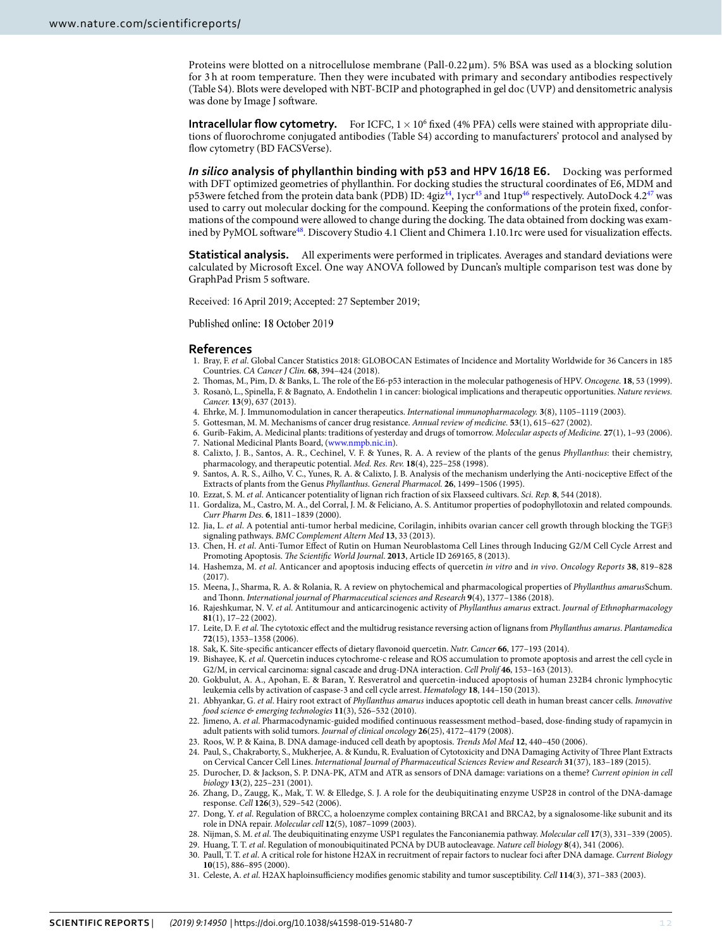Proteins were blotted on a nitrocellulose membrane (Pall-0.22 µm). 5% BSA was used as a blocking solution for 3 h at room temperature. Then they were incubated with primary and secondary antibodies respectively (Table S4). Blots were developed with NBT-BCIP and photographed in gel doc (UVP) and densitometric analysis was done by Image J software.

**Intracellular flow cytometry.** For ICFC,  $1 \times 10^6$  fixed (4% PFA) cells were stained with appropriate dilutions of fluorochrome conjugated antibodies (Table S4) according to manufacturers' protocol and analysed by flow cytometry (BD FACSVerse).

*In silico* **analysis of phyllanthin binding with p53 and HPV 16/18 E6.** Docking was performed with DFT optimized geometries of phyllanthin. For docking studies the structural coordinates of E6, MDM and p53were fetched from the protein data bank (PDB) ID: 4giz<sup>[44](#page-12-10)</sup>, 1ycr<sup>[45](#page-12-11)</sup> and 1tup<sup>[46](#page-12-12)</sup> respectively. AutoDock 4.2<sup>[47](#page-12-13)</sup> was used to carry out molecular docking for the compound. Keeping the conformations of the protein fixed, conformations of the compound were allowed to change during the docking. The data obtained from docking was examined by PyMOL software[48](#page-12-14). Discovery Studio 4.1 Client and Chimera 1.10.1rc were used for visualization effects.

**Statistical analysis.** All experiments were performed in triplicates. Averages and standard deviations were calculated by Microsoft Excel. One way ANOVA followed by Duncan's multiple comparison test was done by GraphPad Prism 5 software.

Received: 16 April 2019; Accepted: 27 September 2019;

Published online: 18 October 2019

#### **References**

- <span id="page-11-0"></span> 1. Bray, F. et al. Global Cancer Statistics 2018: GLOBOCAN Estimates of Incidence and Mortality Worldwide for 36 Cancers in 185 Countries. CA Cancer J Clin. **68**, 394–424 (2018).
- <span id="page-11-1"></span>2. Thomas, M., Pim, D. & Banks, L. The role of the E6-p53 interaction in the molecular pathogenesis of HPV. Oncogene. **18**, 53 (1999).
- <span id="page-11-2"></span> 3. Rosanò, L., Spinella, F. & Bagnato, A. Endothelin 1 in cancer: biological implications and therapeutic opportunities. Nature reviews. Cancer. **13**(9), 637 (2013).
- <span id="page-11-3"></span>4. Ehrke, M. J. Immunomodulation in cancer therapeutics. International immunopharmacology. **3**(8), 1105–1119 (2003).
- <span id="page-11-4"></span>5. Gottesman, M. M. Mechanisms of cancer drug resistance. Annual review of medicine. **53**(1), 615–627 (2002).
- <span id="page-11-6"></span><span id="page-11-5"></span> 6. Gurib-Fakim, A. Medicinal plants: traditions of yesterday and drugs of tomorrow. Molecular aspects of Medicine. **27**(1), 1–93 (2006). 7. National Medicinal Plants Board, ([www.nmpb.nic.in\)](http://www.nmpb.nic.in).
- <span id="page-11-7"></span> 8. Calixto, J. B., Santos, A. R., Cechinel, V. F. & Yunes, R. A. A review of the plants of the genus Phyllanthus: their chemistry, pharmacology, and therapeutic potential. Med. Res. Rev. **18**(4), 225–258 (1998).
- <span id="page-11-8"></span>Santos, A. R. S., Ailho, V. C., Yunes, R. A. & Calixto, J. B. Analysis of the mechanism underlying the Anti-nociceptive Effect of the Extracts of plants from the Genus Phyllanthus. General Pharmacol. **26**, 1499–1506 (1995).
- <span id="page-11-9"></span>10. Ezzat, S. M. et al. Anticancer potentiality of lignan rich fraction of six Flaxseed cultivars. Sci. Rep. **8**, 544 (2018).
- <span id="page-11-10"></span> 11. Gordaliza, M., Castro, M. A., del Corral, J. M. & Feliciano, A. S. Antitumor properties of podophyllotoxin and related compounds. Curr Pharm Des. **6**, 1811–1839 (2000).
- 12. Jia, L. et al. A potential anti-tumor herbal medicine, Corilagin, inhibits ovarian cancer cell growth through blocking the TGFβ signaling pathways. BMC Complement Altern Med **13**, 33 (2013).
- 13. Chen, H. et al. Anti-Tumor Effect of Rutin on Human Neuroblastoma Cell Lines through Inducing G2/M Cell Cycle Arrest and Promoting Apoptosis. The Scientific World Journal. **2013**, Article ID 269165, 8 (2013).
- <span id="page-11-11"></span> 14. Hashemza, M. et al. Anticancer and apoptosis inducing effects of quercetin in vitro and in vivo. Oncology Reports **38**, 819–828 (2017).
- <span id="page-11-12"></span> 15. Meena, J., Sharma, R. A. & Rolania, R. A review on phytochemical and pharmacological properties of Phyllanthus amarusSchum. and Thonn. International journal of Pharmaceutical sciences and Research **9**(4), 1377–1386 (2018).
- <span id="page-11-13"></span>16. Rajeshkumar, N. V. et al. Antitumour and anticarcinogenic activity of Phyllanthus amarus extract. Journal of Ethnopharmacology **81**(1), 17–22 (2002).
- <span id="page-11-14"></span>17. Leite, D. F. et al. The cytotoxic effect and the multidrug resistance reversing action of lignans from Phyllanthus amarus. Plantamedica **72**(15), 1353–1358 (2006).
- <span id="page-11-15"></span>18. Sak, K. Site-specific anticancer effects of dietary flavonoid quercetin. Nutr. Cancer **66**, 177–193 (2014).
- 19. Bishayee, K. et al. Quercetin induces cytochrome-c release and ROS accumulation to promote apoptosis and arrest the cell cycle in G2/M, in cervical carcinoma: signal cascade and drug-DNA interaction. Cell Prolif **46**, 153–163 (2013).
- <span id="page-11-16"></span> 20. Gokbulut, A. A., Apohan, E. & Baran, Y. Resveratrol and quercetin-induced apoptosis of human 232B4 chronic lymphocytic leukemia cells by activation of caspase-3 and cell cycle arrest. Hematology **18**, 144–150 (2013).
- <span id="page-11-17"></span>21. Abhyankar, G. et al. Hairy root extract of Phyllanthus amarus induces apoptotic cell death in human breast cancer cells. Innovative food science & emerging technologies **11**(3), 526–532 (2010).
- <span id="page-11-18"></span>22. Jimeno, A. et al. Pharmacodynamic-guided modified continuous reassessment method-based, dose-finding study of rapamycin in adult patients with solid tumors. Journal of clinical oncology **26**(25), 4172–4179 (2008).
- <span id="page-11-19"></span>23. Roos, W. P. & Kaina, B. DNA damage-induced cell death by apoptosis. Trends Mol Med **12**, 440–450 (2006).
- <span id="page-11-20"></span> 24. Paul, S., Chakraborty, S., Mukherjee, A. & Kundu, R. Evaluation of Cytotoxicity and DNA Damaging Activity of Three Plant Extracts on Cervical Cancer Cell Lines. International Journal of Pharmaceutical Sciences Review and Research **31**(37), 183–189 (2015).
- <span id="page-11-21"></span> 25. Durocher, D. & Jackson, S. P. DNA-PK, ATM and ATR as sensors of DNA damage: variations on a theme? Current opinion in cell biology **13**(2), 225–231 (2001).
- <span id="page-11-22"></span> 26. Zhang, D., Zaugg, K., Mak, T. W. & Elledge, S. J. A role for the deubiquitinating enzyme USP28 in control of the DNA-damage response. Cell **126**(3), 529–542 (2006).
- <span id="page-11-23"></span>27. Dong, Y. et al. Regulation of BRCC, a holoenzyme complex containing BRCA1 and BRCA2, by a signalosome-like subunit and its role in DNA repair. Molecular cell **12**(5), 1087–1099 (2003).
- <span id="page-11-24"></span>28. Nijman, S. M. et al. The deubiquitinating enzyme USP1 regulates the Fanconianemia pathway. Molecular cell **17**(3), 331–339 (2005).
- 29. Huang, T. T. et al. Regulation of monoubiquitinated PCNA by DUB autocleavage. Nature cell biology **8**(4), 341 (2006).
- 30. Paull, T. T. et al. A critical role for histone H2AX in recruitment of repair factors to nuclear foci after DNA damage. Current Biology **10**(15), 886–895 (2000).
- 31. Celeste, A. et al. H2AX haploinsufficiency modifies genomic stability and tumor susceptibility. Cell **114**(3), 371–383 (2003).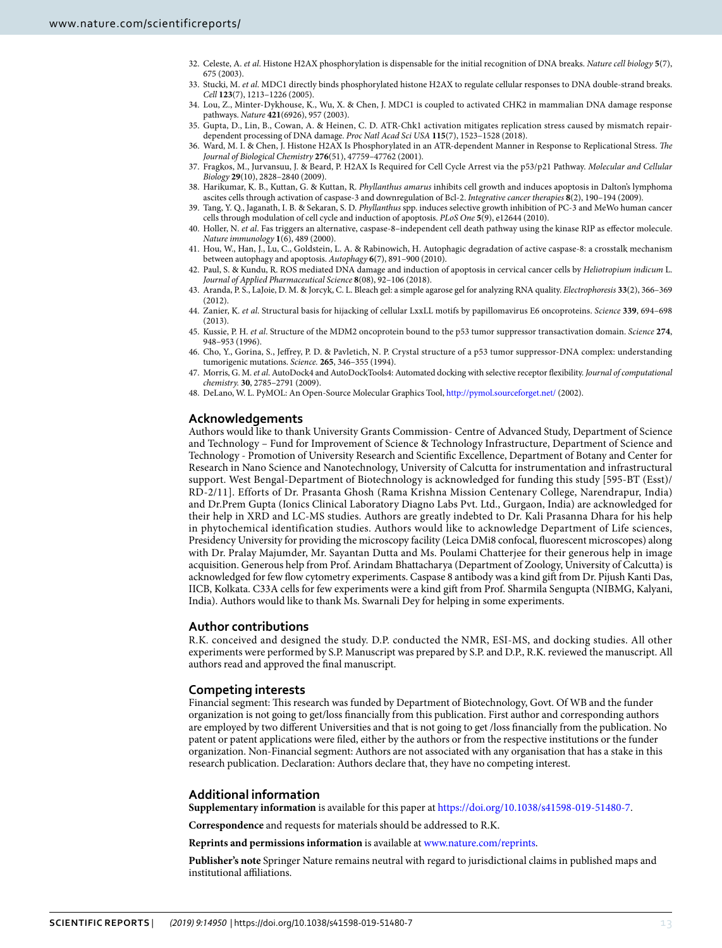- 32. Celeste, A. et al. Histone H2AX phosphorylation is dispensable for the initial recognition of DNA breaks. Nature cell biology **5**(7), 675 (2003).
- 33. Stucki, M. et al. MDC1 directly binds phosphorylated histone H2AX to regulate cellular responses to DNA double-strand breaks. Cell **123**(7), 1213–1226 (2005).
- <span id="page-12-0"></span> 34. Lou, Z., Minter-Dykhouse, K., Wu, X. & Chen, J. MDC1 is coupled to activated CHK2 in mammalian DNA damage response pathways. Nature **421**(6926), 957 (2003).
- <span id="page-12-1"></span> 35. Gupta, D., Lin, B., Cowan, A. & Heinen, C. D. ATR-Chk1 activation mitigates replication stress caused by mismatch repairdependent processing of DNA damage. Proc Natl Acad Sci USA **115**(7), 1523–1528 (2018).
- <span id="page-12-2"></span> 36. Ward, M. I. & Chen, J. Histone H2AX Is Phosphorylated in an ATR-dependent Manner in Response to Replicational Stress. The Journal of Biological Chemistry **276**(51), 47759–47762 (2001).
- <span id="page-12-3"></span> 37. Fragkos, M., Jurvansuu, J. & Beard, P. H2AX Is Required for Cell Cycle Arrest via the p53/p21 Pathway. Molecular and Cellular Biology **29**(10), 2828–2840 (2009).
- <span id="page-12-4"></span>38. Harikumar, K. B., Kuttan, G. & Kuttan, R. Phyllanthus amarus inhibits cell growth and induces apoptosis in Dalton's lymphoma ascites cells through activation of caspase-3 and downregulation of Bcl-2. Integrative cancer therapies **8**(2), 190–194 (2009).
- <span id="page-12-5"></span> 39. Tang, Y. Q., Jaganath, I. B. & Sekaran, S. D. Phyllanthus spp. induces selective growth inhibition of PC-3 and MeWo human cancer cells through modulation of cell cycle and induction of apoptosis. PLoS One **5**(9), e12644 (2010).
- <span id="page-12-6"></span>40. Holler, N. et al. Fas triggers an alternative, caspase-8-independent cell death pathway using the kinase RIP as effector molecule. Nature immunology **1**(6), 489 (2000).
- <span id="page-12-7"></span> 41. Hou, W., Han, J., Lu, C., Goldstein, L. A. & Rabinowich, H. Autophagic degradation of active caspase-8: a crosstalk mechanism between autophagy and apoptosis. Autophagy **6**(7), 891–900 (2010).
- <span id="page-12-8"></span> 42. Paul, S. & Kundu, R. ROS mediated DNA damage and induction of apoptosis in cervical cancer cells by Heliotropium indicum L. Journal of Applied Pharmaceutical Science **8**(08), 92–106 (2018).
- <span id="page-12-9"></span> 43. Aranda, P. S., LaJoie, D. M. & Jorcyk, C. L. Bleach gel: a simple agarose gel for analyzing RNA quality. Electrophoresis **33**(2), 366–369 (2012).
- <span id="page-12-10"></span> 44. Zanier, K. et al. Structural basis for hijacking of cellular LxxLL motifs by papillomavirus E6 oncoproteins. Science **339**, 694–698  $(2013)$
- <span id="page-12-11"></span> 45. Kussie, P. H. et al. Structure of the MDM2 oncoprotein bound to the p53 tumor suppressor transactivation domain. Science **274**, 948–953 (1996).
- <span id="page-12-12"></span> 46. Cho, Y., Gorina, S., Jeffrey, P. D. & Pavletich, N. P. Crystal structure of a p53 tumor suppressor-DNA complex: understanding tumorigenic mutations. Science. **265**, 346–355 (1994).
- <span id="page-12-13"></span>47. Morris, G. M. et al. AutoDock4 and AutoDockTools4: Automated docking with selective receptor flexibility. Journal of computational chemistry. **30**, 2785–2791 (2009).
- <span id="page-12-14"></span>48. DeLano, W. L. PyMOL: An Open-Source Molecular Graphics Tool,<http://pymol.sourceforget.net/>(2002).

#### **Acknowledgements**

Authors would like to thank University Grants Commission- Centre of Advanced Study, Department of Science and Technology – Fund for Improvement of Science & Technology Infrastructure, Department of Science and Technology - Promotion of University Research and Scientific Excellence, Department of Botany and Center for Research in Nano Science and Nanotechnology, University of Calcutta for instrumentation and infrastructural support. West Bengal-Department of Biotechnology is acknowledged for funding this study [595-BT (Esst)/ RD-2/11]. Efforts of Dr. Prasanta Ghosh (Rama Krishna Mission Centenary College, Narendrapur, India) and Dr.Prem Gupta (Ionics Clinical Laboratory Diagno Labs Pvt. Ltd., Gurgaon, India) are acknowledged for their help in XRD and LC-MS studies. Authors are greatly indebted to Dr. Kali Prasanna Dhara for his help in phytochemical identification studies. Authors would like to acknowledge Department of Life sciences, Presidency University for providing the microscopy facility (Leica DMi8 confocal, fluorescent microscopes) along with Dr. Pralay Majumder, Mr. Sayantan Dutta and Ms. Poulami Chatterjee for their generous help in image acquisition. Generous help from Prof. Arindam Bhattacharya (Department of Zoology, University of Calcutta) is acknowledged for few flow cytometry experiments. Caspase 8 antibody was a kind gift from Dr. Pijush Kanti Das, IICB, Kolkata. C33A cells for few experiments were a kind gift from Prof. Sharmila Sengupta (NIBMG, Kalyani, India). Authors would like to thank Ms. Swarnali Dey for helping in some experiments.

#### **Author contributions**

R.K. conceived and designed the study. D.P. conducted the NMR, ESI-MS, and docking studies. All other experiments were performed by S.P. Manuscript was prepared by S.P. and D.P., R.K. reviewed the manuscript. All authors read and approved the final manuscript.

### **Competing interests**

Financial segment: This research was funded by Department of Biotechnology, Govt. Of WB and the funder organization is not going to get/loss financially from this publication. First author and corresponding authors are employed by two different Universities and that is not going to get /loss financially from the publication. No patent or patent applications were filed, either by the authors or from the respective institutions or the funder organization. Non-Financial segment: Authors are not associated with any organisation that has a stake in this research publication. Declaration: Authors declare that, they have no competing interest.

### **Additional information**

**Supplementary information** is available for this paper at<https://doi.org/10.1038/s41598-019-51480-7>.

**Correspondence** and requests for materials should be addressed to R.K.

**Reprints and permissions information** is available at [www.nature.com/reprints.](http://www.nature.com/reprints)

**Publisher's note** Springer Nature remains neutral with regard to jurisdictional claims in published maps and institutional affiliations.